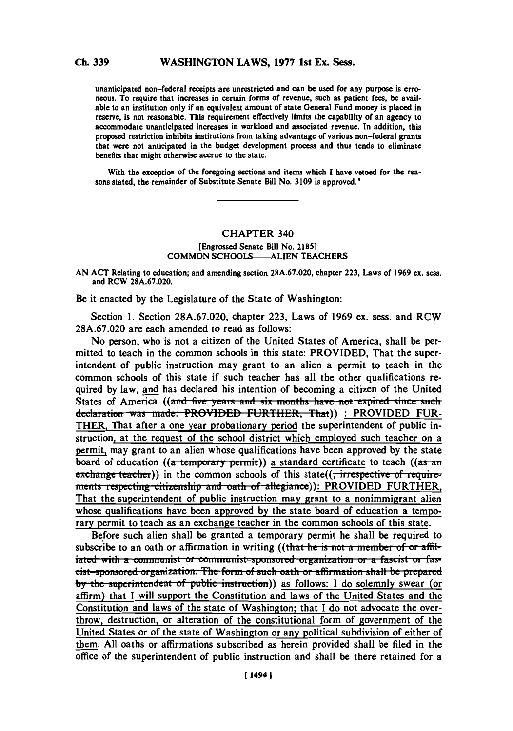## **Ch. 339**

unanticipated non-federal receipts are unrestricted and can be used for any purpose is erro neous. To require that increases in certain forms of revenue, such as patient fees, be available to an institution only if an equivalent amount of state General Fund money is placed in reserve, is not reasonable. This requirement effectively limits the capability of an agency to accommodate unanticipated increases in workload and associated revenue. In addition, this proposed restriction inhibits institutions from taking advantage of various non-federal grants that were not anticipated in the budget development process and thus tends to eliminate benefits that might otherwise accrue to the state.

With the exception of the foregoing sections and items which **I** have vetoed for the rea sons stated, the remainder of Substitute Senate Bill No. **3109** is approved."

# **CHAPTER 340**

#### [Engrossed Senate Bill No. **2185] COMMON** SCHOOLS-ALIEN **TEACHERS**

**AN ACT** Relating to education; and amending section **28A.67.020,** chapter **223,** Laws of **1969** ex. sess. and RCW **28A.67.020.**

Be it enacted **by** the Legislature of the State of Washington:

Section **1.** Section **28A.67.020,** chapter **223,** Laws of **1969** ex. sess. and RCW **28A.67.020** are each amended to read as follows:

No person, who is not a citizen of the United States of America, shall be permitted to teach in the common schools in this state: PROVIDED, That the superintendent of public instruction may grant to an alien a permit to teach in the common schools of this state if such teacher has all the other qualifications required **by** law, and has declared his intention of becoming a citizen of the United States of America ((and five years and six months have not expired since such declaration was made: **PROVIDED FURTHER, That**)) : PROVIDED FUR-THER, That after a one year probationary period the superintendent of public instruction, at the request of the school district which employed such teacher on a permit, may grant to an alien whose qualifications have been approved **by** the state board of education ((a temporary permit)) a standard certificate to teach ((as an exchange teacher)) in the common schools of this state((, intespective of require-<br>ments respecting citizenship and oath of allegiance)): PROVIDED FURTHER, That the superintendent of public instruction may grant to a nonimmigrant alien whose qualifications have been approved **by** the state board of education a temporary permit to teach as an exchange teacher in the common schools of this state.

Before such alien shall be granted a temporary permit he shall be required to subscribe to an oath or affirmation in writing ((that he is not a member of or affil**iated with a communist or communist-sponsored organization or a fascist or fasbuther at the** *tite-sponsored* organization. The form of such oath or affirmation shall be prepared<br>by the superintendent of public instruction)) as follows: I do solemnly swear (or affirm) that **I** will support the Constitution and laws of the United States and the Constitution and laws of the state of Washington; that I do not advocate the overthrow, destruction, or alteration of the constitutional form of government of the United States or of the state of Washington or any political subdivision of either of them. **All** oaths or affirmations subscribed as herein provided shall be filed in the office of the superintendent of public instruction and shall be there retained for a